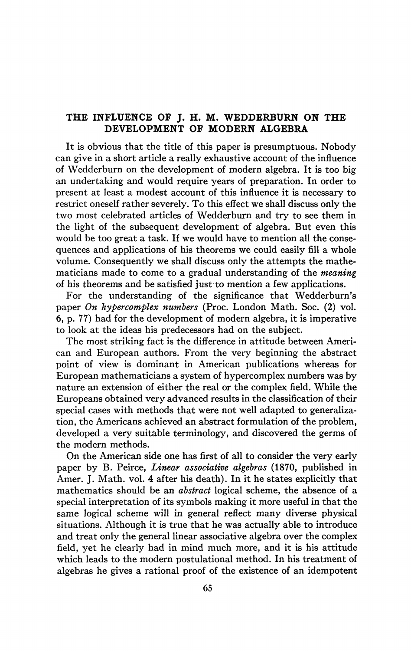## **THE INFLUENCE OF J. H. M. WEDDERBURN ON THE DEVELOPMENT OF MODERN ALGEBRA**

It is obvious that the title of this paper is presumptuous. Nobody can give in a short article a really exhaustive account of the influence of Wedderburn on the development of modern algebra. It is too big an undertaking and would require years of preparation. In order to present at least a modest account of this influence it is necessary to restrict oneself rather severely. To this effect we shall discuss only the two most celebrated articles of Wedderburn and try to see them in the light of the subsequent development of algebra. But even this would be too great a task. If we would have to mention all the consequences and applications of his theorems we could easily fill a whole volume. Consequently we shall discuss only the attempts the mathematicians made to come to a gradual understanding of the *meaning*  of his theorems and be satisfied just to mention a few applications.

For the understanding of the significance that Wedderburn's paper *On hypercomplex numbers* (Proc. London Math. Soc. (2) vol. 6, p. 77) had for the development of modern algebra, it is imperative to look at the ideas his predecessors had on the subject.

The most striking fact is the difference in attitude between American and European authors. From the very beginning the abstract point of view is dominant in American publications whereas for European mathematicians a system of hypercomplex numbers was by nature an extension of either the real or the complex field. While the Europeans obtained very advanced results in the classification of their special cases with methods that were not well adapted to generalization, the Americans achieved an abstract formulation of the problem, developed a very suitable terminology, and discovered the germs of the modern methods.

On the American side one has first of all to consider the very early paper by B. Peirce, *Linear associative algebras* (1870, published in Amer. J. Math. vol. 4 after his death). In it he states explicitly that mathematics should be an *abstract* logical scheme, the absence of a special interpretation of its symbols making it more useful in that the same logical scheme will in general reflect many diverse physical situations. Although it is true that he was actually able to introduce and treat only the general linear associative algebra over the complex field, yet he clearly had in mind much more, and it is his attitude which leads to the modern postulational method. In his treatment of algebras he gives a rational proof of the existence of an idempotent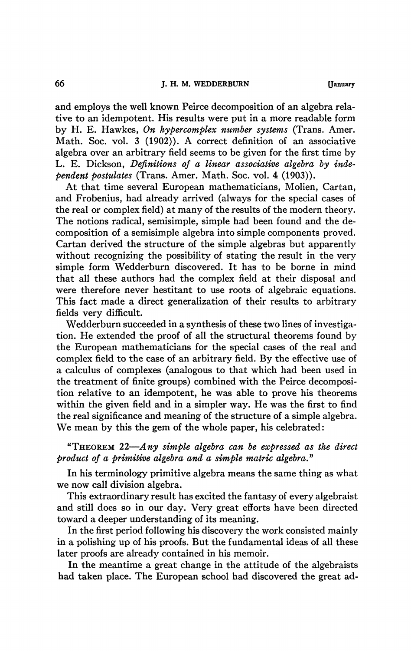and employs the well known Peirce decomposition of an algebra relative to an idempotent. His results were put in a more readable form by H. E. Hawkes, *On hypercomplex number systems* (Trans. Amer. Math. Soc. vol. 3 (1902)). A correct definition of an associative algebra over an arbitrary field seems to be given for the first time by L. E. Dickson, *Definitions of a linear associative algebra by independent postulates* (Trans. Amer. Math. Soc. vol. 4 (1903)).

At that time several European mathematicians, Molien, Cartan, and Frobenius, had already arrived (always for the special cases of the real or complex field) at many of the results of the modern theory. The notions radical, semisimple, simple had been found and the decomposition of a semisimple algebra into simple components proved. Cartan derived the structure of the simple algebras but apparently without recognizing the possibility of stating the result in the very simple form Wedderburn discovered. It has to be borne in mind that all these authors had the complex field at their disposal and were therefore never hestitant to use roots of algebraic equations. This fact made a direct generalization of their results to arbitrary fields very difficult.

Wedderburn succeeded in a synthesis of these two lines of investigation. He extended the proof of all the structural theorems found by the European mathematicians for the special cases of the real and complex field to the case of an arbitrary field. By the effective use of a calculus of complexes (analogous to that which had been used in the treatment of finite groups) combined with the Peirce decomposition relative to an idempotent, he was able to prove his theorems within the given field and in a simpler way. He was the first to find the real significance and meaning of the structure of a simple algebra. We mean by this the gem of the whole paper, his celebrated:

## "THEOREM 22—*Any simple algebra can be expressed as the direct product of a primitive algebra and a simple matric algebra.<sup>n</sup>*

In his terminology primitive algebra means the same thing as what we now call division algebra.

This extraordinary result has excited the fantasy of every algebraist and still does so in our day. Very great efforts have been directed toward a deeper understanding of its meaning.

In the first period following his discovery the work consisted mainly in a polishing up of his proofs. But the fundamental ideas of all these later proofs are already contained in his memoir.

In the meantime a great change in the attitude of the algebraists had taken place. The European school had discovered the great ad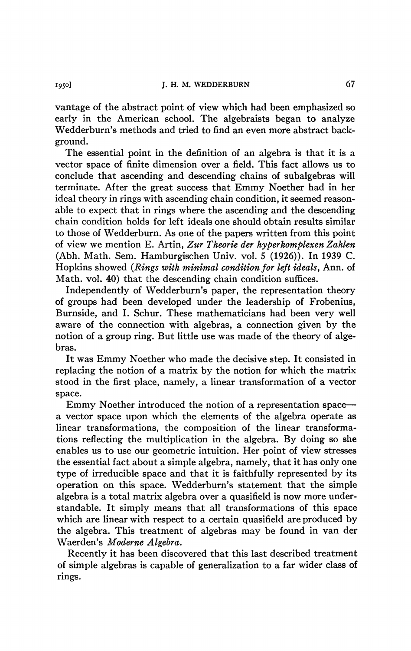vantage of the abstract point of view which had been emphasized so early in the American school. The algebraists began to analyze Wedderburn's methods and tried to find an even more abstract background.

The essential point in the definition of an algebra is that it is a vector space of finite dimension over a field. This fact allows us to conclude that ascending and descending chains of subalgebras will terminate. After the great success that Emmy Noether had in her ideal theory in rings with ascending chain condition, it seemed reasonable to expect that in rings where the ascending and the descending chain condition holds for left ideals one should obtain results similar to those of Wedderburn. As one of the papers written from this point of view we mention E. Artin, *Zur Theorie der hyperkomplexen Zahlen*  (Abh. Math. Sem. Hamburgischen Univ. vol. 5 (1926)). In 1939 C. Hopkins showed (Rings with minimal condition for left ideals, Ann. of Math. vol. 40) that the descending chain condition suffices.

Independently of Wedderburn's paper, the representation theory of groups had been developed under the leadership of Frobenius, Burnside, and I. Schur. These mathematicians had been very well aware of the connection with algebras, a connection given by the notion of a group ring. But little use was made of the theory of algebras.

It was Emmy Noether who made the decisive step. It consisted in replacing the notion of a matrix by the notion for which the matrix stood in the first place, namely, a linear transformation of a vector space.

Emmy Noether introduced the notion of a representation space a vector space upon which the elements of the algebra operate as linear transformations, the composition of the linear transformations reflecting the multiplication in the algebra. By doing so she enables us to use our geometric intuition. Her point of view stresses the essential fact about a simple algebra, namely, that it has only one type of irreducible space and that it is faithfully represented by its operation on this space. Wedderburn's statement that the simple algebra is a total matrix algebra over a quasifield is now more understandable. It simply means that all transformations of this space which are linear with respect to a certain quasifield are produced by the algebra. This treatment of algebras may be found in van der Waerden's *Moderne Algebra.* 

Recently it has been discovered that this last described treatment of simple algebras is capable of generalization to a far wider class of rings.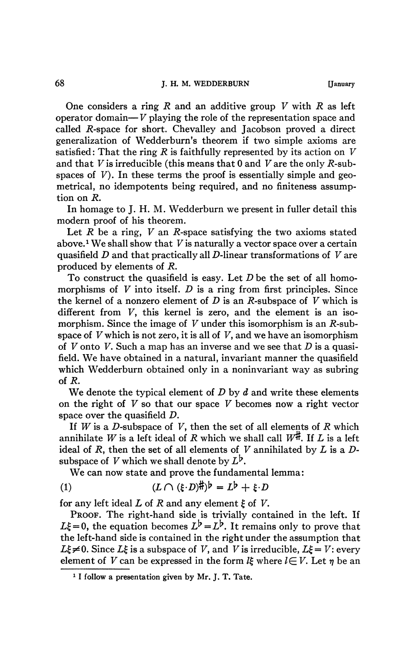One considers a ring  $R$  and an additive group  $V$  with  $R$  as left operator domain— $V$  playing the role of the representation space and called  $R$ -space for short. Chevalley and Jacobson proved a direct generalization of Wedderburn's theorem if two simple axioms are satisfied: That the ring  $R$  is faithfully represented by its action on  $V$ and that V is irreducible (this means that 0 and V are the only  $R$ -subspaces of  $V$ ). In these terms the proof is essentially simple and geometrical, no idempotents being required, and no finiteness assumption on *R.* 

In homage to J. H. M. Wedderburn we present in fuller detail this modern proof of his theorem.

Let  $R$  be a ring,  $V$  an  $R$ -space satisfying the two axioms stated above.<sup>1</sup> We shall show that  $V$  is naturally a vector space over a certain quasifield  $D$  and that practically all  $D$ -linear transformations of  $V$  are produced by elements of *R.* 

To construct the quasifield is easy. Let *D* be the set of all homomorphisms of  $V$  into itself.  $D$  is a ring from first principles. Since the kernel of a nonzero element of  $D$  is an  $R$ -subspace of  $V$  which is different from  $V$ , this kernel is zero, and the element is an isomorphism. Since the image of  $V$  under this isomorphism is an  $R$ -subspace of  $V$  which is not zero, it is all of  $V$ , and we have an isomorphism of F onto F. Such a map has an inverse and we see that *D* is a quasifield. We have obtained in a natural, invariant manner the quasifield which Wedderburn obtained only in a noninvariant way as subring *oîR.* 

We denote the typical element of *D* by *d* and write these elements on the right of  $V$  so that our space  $V$  becomes now a right vector space over the quasifield *D.* 

If *W* is a *D*-subspace of *V*, then the set of all elements of  $R$  which annihilate *W* is a left ideal of R which we shall call  $W^{\#}$ . If L is a left ideal of  $R$ , then the set of all elements of  $V$  annihilated by  $L$  is a  $D$ subspace of V which we shall denote by  $L^{\rho}$ .

We can now state and prove the fundamental lemma:

(1) 
$$
(L \cap (\xi \cdot D)^{\#})^{\flat} = L^{\flat} + \xi \cdot D
$$

for any left ideal  $L$  of  $R$  and any element  $\xi$  of  $V$ .

PROOF. The right-hand side is trivially contained in the left. If  $L\xi = 0$ , the equation becomes  $L^{\flat} = L^{\flat}$ . It remains only to prove that the left-hand side is contained in the right under the assumption that  $L\xi\neq0$ . Since  $L\xi$  is a subspace of V, and V is irreducible,  $L\xi=V$ : every element of V can be expressed in the form  $\ell \xi$  where  $\ell \in V$ . Let  $\eta$  be an

**<sup>1</sup> I follow a presentation given by Mr. J. T. Tate.**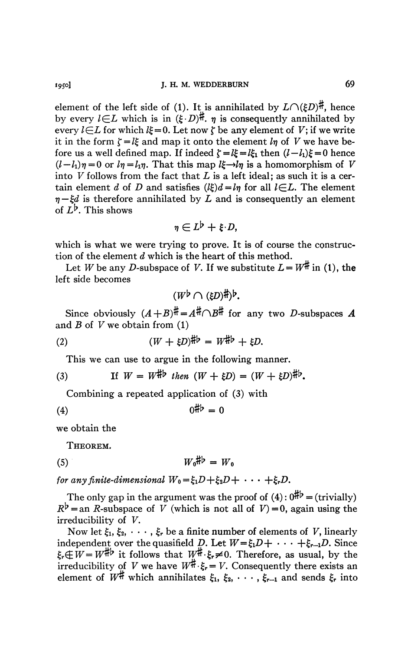**î95ol J. H. M. WEDDERBURN** 69

element of the left side of (1). It is annihilated by  $L(\mathcal{E}D)^{\#}$ , hence by every  $l\in L$  which is in  $(\xi \cdot D)^{\#}$ . *n* is consequently annihilated by every  $l \in L$  for which  $l \xi = 0$ . Let now  $\zeta$  be any element of V; if we write it in the form  $\zeta = l\xi$  and map it onto the element  $l\eta$  of *V* we have before us a well defined map. If indeed  $\zeta = \mathcal{L} = \mathcal{L}_1$  then  $(l - l_1)\zeta = 0$  hence  $(l-l_1)\eta = 0$  or  $l\eta = l_1\eta$ . That this map  $l\xi \rightarrow l\eta$  is a homomorphism of *V* into  $V$  follows from the fact that  $L$  is a left ideal; as such it is a certain element *d* of *D* and satisfies  $(l\xi)d = l\eta$  for all  $l\in L$ . The element  $\eta - \xi d$  is therefore annihilated by *L* and is consequently an element of  $L^{\flat}$ . This shows

$$
\eta\in L^{\flat}+\xi\cdot D,
$$

which is what we were trying to prove. It is of course the construction of the element *d* which is the heart of this method.

Let *W* be any *D*-subspace of *V*. If we substitute  $L = W^{\#}$  in (1), the left side becomes

$$
(W^{\flat}\cap(\xi D)^{\sharp})^{\flat}.
$$

Since obviously  $(A+B)^{\frac{d}{b}}=A^{\frac{d}{b}}\cap B^{\frac{d}{b}}$  for any two *D*-subspaces *A* and  $B$  of  $V$  we obtain from  $(1)$ 

$$
(2) \t\t\t (W + \xi D)^{\sharp\flat} = W^{\sharp\flat} + \xi D.
$$

This we can use to argue in the following manner.

(3) If 
$$
W = W^{\sharp\flat}
$$
 then  $(W + \xi D) = (W + \xi D)^{\sharp\flat}$ .

Combining a repeated application of (3) with

$$
0^{\sharp b} = 0
$$

we obtain the

THEOREM.

$$
(5) \t W_0^{\text{#b}} = W_0
$$

*for any finite-dimensional*  $W_0 = \xi_1 D + \xi_2 D + \cdots + \xi_r D$ .

The only gap in the argument was the proof of  $(4)$ :  $0^{\frac{4}{7}}$  = (trivially)  $R^{\flat}$  = an *R*-subspace of *V* (which is not all of *V*) = 0, again using the irreducibility of *V.* 

Now let  $\xi_1, \xi_2, \cdots, \xi_r$  be a finite number of elements of V, linearly independent over the quasifield *D*. Let  $W = \xi_1 D + \cdots + \xi_{r-1} D$ . Since  $\xi_r \notin W = W^{\sharp\sharp}$  it follows that  $W^{\sharp\sharp} \cdot \xi_r \neq 0$ . Therefore, as usual, by the irreducibility of *V* we have  $W^{\#}\xi_r = V$ . Consequently there exists an element of  $W^{\#}$  which annihilates  $\xi_1, \xi_2, \cdots, \xi_{r-1}$  and sends  $\xi_r$  into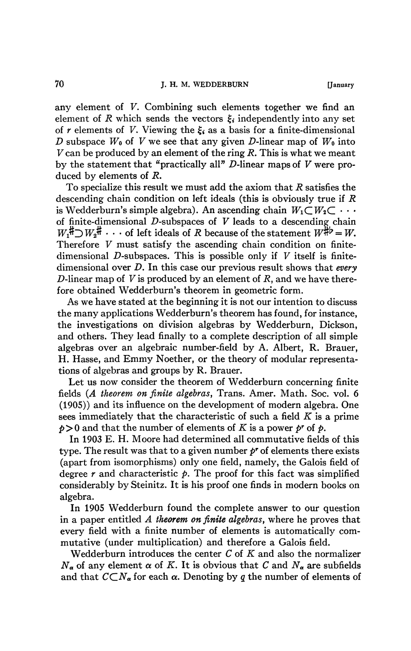any element of *V.* Combining such elements together we find an element of R which sends the vectors  $\xi_i$  independently into any set of *r* elements of *V*. Viewing the  $\xi$  as a basis for a finite-dimensional *D* subspace  $W_0$  of *V* we see that any given *D*-linear map of  $W_0$  into F can be produced by an element of the ring *R.* This is what we meant by the statement that "practically all" *D*-linear maps of *V* were produced by elements of *R.* 

To specialize this result we must add the axiom that *R* satisfies the descending chain condition on left ideals (this is obviously true if *R*  is Wedderburn's simple algebra). An ascending chain  $W_1 \subset W_2 \subset \cdots$ of finite-dimensional D-subspaces of *V* leads to a descending chain  $W_1^{\sharp} \supset W_2^{\sharp} \cdots$  of left ideals of *R* because of the statement  $W^{\sharp\sharp\flat} = W$ . Therefore *V* must satisfy the ascending chain condition on finitedimensional P-subspaces. This is possible only if *V* itself is finitedimensional over *D.* In this case our previous result shows that *every*  D-linear map of  $V$  is produced by an element of  $R$ , and we have therefore obtained Wedderburn's theorem in geometric form.

As we have stated at the beginning it is not our intention to discuss the many applications Wedderburn's theorem has found, for instance, the investigations on division algebras by Wedderburn, Dickson, and others. They lead finally to a complete description of all simple algebras over an algebraic number-field by A. Albert, R. Brauer, H. Hasse, and Emmy Noether, or the theory of modular representations of algebras and groups by R. Brauer.

Let us now consider the theorem of Wedderburn concerning finite fields *(A theorem on finite algebras,* Trans. Amer. Math. Soc. vol. 6 (1905)) and its influence on the development of modern algebra. One sees immediately that the characteristic of such a field  $K$  is a prime  $p > 0$  and that the number of elements of *K* is a power  $p^r$  of  $p$ .

In 1903 E. H. Moore had determined all commutative fields of this type. The result was that to a given number  $p^r$  of elements there exists (apart from isomorphisms) only one field, namely, the Galois field of degree  $r$  and characteristic  $\dot{p}$ . The proof for this fact was simplified considerably by Steinitz. It is his proof one finds in modern books on algebra.

In 1905 Wedderburn found the complete answer to our question in a paper entitled *A theorem on finite algebras,* where he proves that every field with a finite number of elements is automatically commutative (under multiplication) and therefore a Galois field.

Wedderburn introduces the center *C* of *K* and also the normalizer  $N_a$  of any element  $\alpha$  of K. It is obvious that C and  $N_a$  are subfields and that  $C\_{N_{\alpha}}$  for each  $\alpha$ . Denoting by q the number of elements of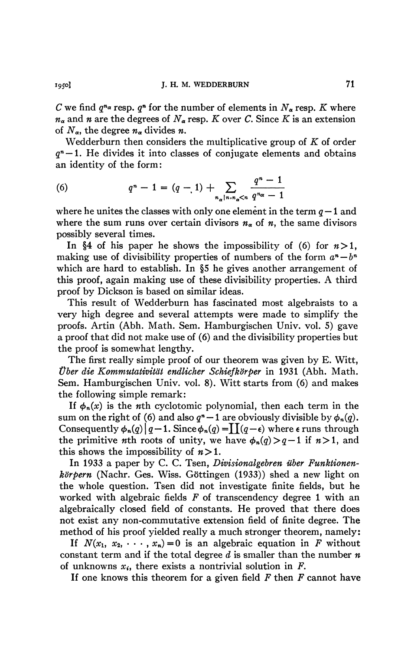*C* we find  $q^{n_{\alpha}}$  resp.  $q^{n}$  for the number of elements in  $N_{\alpha}$  resp. *K* where  $n_a$  and *n* are the degrees of  $N_a$  resp. *K* over *C*. Since *K* is an extension of  $N_{\alpha}$ , the degree  $n_{\alpha}$  divides  $n$ .

Wedderburn then considers the multiplicative group of *K* of order  $q<sup>n</sup> - 1$ . He divides it into classes of conjugate elements and obtains an identity of the form:

(6) 
$$
q^{n} - 1 = (q - 1) + \sum_{n_{\alpha} | n, n_{\alpha} < n} \frac{q^{n} - 1}{q^{n_{\alpha}} - 1}
$$

where he unites the classes with only one element in the term  $q-1$  and where the sum runs over certain divisors  $n_{\alpha}$  of n, the same divisors possibly several times.

In §4 of his paper he shows the impossibility of (6) for  $n>1$ , making use of divisibility properties of numbers of the form  $a<sup>n</sup> - b<sup>n</sup>$ which are hard to establish. In §5 he gives another arrangement of this proof, again making use of these divisibility properties. A third proof by Dickson is based on similar ideas.

This result of Wedderburn has fascinated most algebraists to a very high degree and several attempts were made to simplify the proofs. Artin (Abh. Math. Sem. Hamburgischen Univ. vol. 5) gave a proof that did not make use of (6) and the divisibility properties but the proof is somewhat lengthy.

The first really simple proof of our theorem was given by E. Witt, *Über die Kommutativitdt endlicher Schiefkörper* in 1931 (Abh. Math. Sem. Hamburgischen Univ. vol. 8). Witt starts from (6) and makes the following simple remark:

If  $\phi_n(x)$  is the *n*th cyclotomic polynomial, then each term in the sum on the right of (6) and also  $q^{n}-1$  are obviously divisible by  $\phi_{n}(q)$ . Consequently  $\phi_n(q)$   $q-1$ . Since  $\phi_n(q) = \prod (q-\epsilon)$  where  $\epsilon$  runs through the primitive *n*th roots of unity, we have  $\phi_n(q) > q-1$  if  $n>1$ , and this shows the impossibility of  $n>1$ .

In 1933 a paper by C. C. Tsen, *Divisionalgebren über Funktionenkörpern* (Nachr. Ges. Wiss. Göttingen (1933)) shed a new light on the whole question. Tsen did not investigate finite fields, but he worked with algebraic fields *F* of transcendency degree 1 with an algebraically closed field of constants. He proved that there does not exist any non-commutative extension field of finite degree. The method of his proof yielded really a much stronger theorem, namely:

If  $N(x_1, x_2, \dots, x_n) = 0$  is an algebraic equation in *F* without constant term and if the total degree *d* is smaller than the number *n*  of unknowns  $x_i$ , there exists a nontrivial solution in  $F$ .

If one knows this theorem for a given field *F* then *F* cannot have